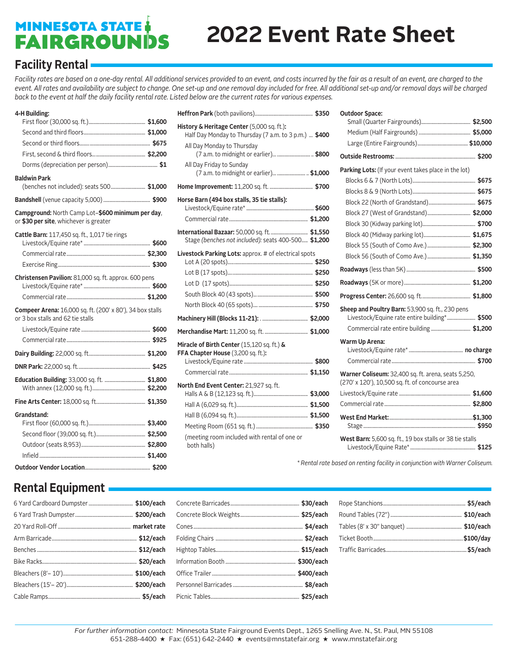# **MINNESOTA STATE:**<br>FAIRGROUNDS

# **2022 Event Rate Sheet**

### **Facility Rental**

Facility rates are based on a one-day rental. All additional services provided to an event, and costs incurred by the fair as a result of an event, are charged to the *event. All rates and availability are subject to change. One set-up and one removal day included for free. All additional set-up and/or removal days will be charged back to the event at half the daily facility rental rate. Listed below are the current rates for various expenses.*

#### **4-H Building:**

| <b>Baldwin Park</b>                                                                            |  |
|------------------------------------------------------------------------------------------------|--|
| (benches not included): seats 500 \$1,000                                                      |  |
|                                                                                                |  |
| Campground: North Camp Lot-\$600 minimum per day,<br>or \$30 per site, whichever is greater    |  |
| Cattle Barn: 117,450 sq. ft., 1,017 tie rings                                                  |  |
|                                                                                                |  |
|                                                                                                |  |
|                                                                                                |  |
| Christensen Pavilion: 81,000 sq. ft. approx. 600 pens                                          |  |
|                                                                                                |  |
|                                                                                                |  |
| Compeer Arena: 16,000 sq. ft. (200' x 80'), 34 box stalls<br>or 3 box stalls and 62 tie stalls |  |
|                                                                                                |  |
|                                                                                                |  |
|                                                                                                |  |
|                                                                                                |  |
|                                                                                                |  |
|                                                                                                |  |
|                                                                                                |  |
| Grandstand:                                                                                    |  |
|                                                                                                |  |
|                                                                                                |  |
|                                                                                                |  |
|                                                                                                |  |
|                                                                                                |  |

| History & Heritage Center (5,000 sq. ft.):<br>Half Day Monday to Thursday (7 a.m. to 3 p.m.)  \$400  |  |
|------------------------------------------------------------------------------------------------------|--|
| All Day Monday to Thursday<br>(7 a.m. to midnight or earlier)  \$800                                 |  |
| All Day Friday to Sunday<br>(7 a.m. to midnight or earlier)  \$1,000                                 |  |
|                                                                                                      |  |
| Horse Barn (494 box stalls, 35 tie stalls):                                                          |  |
| International Bazaar: 50,000 sq. ft.  \$1,550<br>Stage (benches not included): seats 400-500 \$1,200 |  |
| Livestock Parking Lots: approx. # of electrical spots                                                |  |
|                                                                                                      |  |
|                                                                                                      |  |
| Miracle of Birth Center (15,120 sq. ft.) &<br>FFA Chapter House (3,200 sq. ft.):                     |  |
| North End Event Center: 21,927 sq. ft.                                                               |  |
|                                                                                                      |  |
|                                                                                                      |  |
|                                                                                                      |  |
| (meeting room included with rental of one or<br>both halls)                                          |  |

#### **Outdoor Space:**

| Parking Lots: (If your event takes place in the lot)                                                   |  |
|--------------------------------------------------------------------------------------------------------|--|
|                                                                                                        |  |
|                                                                                                        |  |
|                                                                                                        |  |
|                                                                                                        |  |
|                                                                                                        |  |
|                                                                                                        |  |
|                                                                                                        |  |
|                                                                                                        |  |
|                                                                                                        |  |
|                                                                                                        |  |
|                                                                                                        |  |
| Sheep and Poultry Barn: 53,900 sq. ft., 230 pens                                                       |  |
| Livestock/Equine rate entire building* \$500                                                           |  |
|                                                                                                        |  |
| <b>Warm Up Arena:</b>                                                                                  |  |
|                                                                                                        |  |
|                                                                                                        |  |
| Warner Coliseum: 32,400 sq. ft. arena, seats 5,250,<br>(270' x 120'), 10,500 sq. ft. of concourse area |  |
|                                                                                                        |  |
|                                                                                                        |  |
|                                                                                                        |  |
| West Barn: 5,600 sq. ft., 19 box stalls or 38 tie stalls                                               |  |

*\* Rental rate based on renting facility in conjunction with Warner Coliseum.*

### **Rental Equipment**